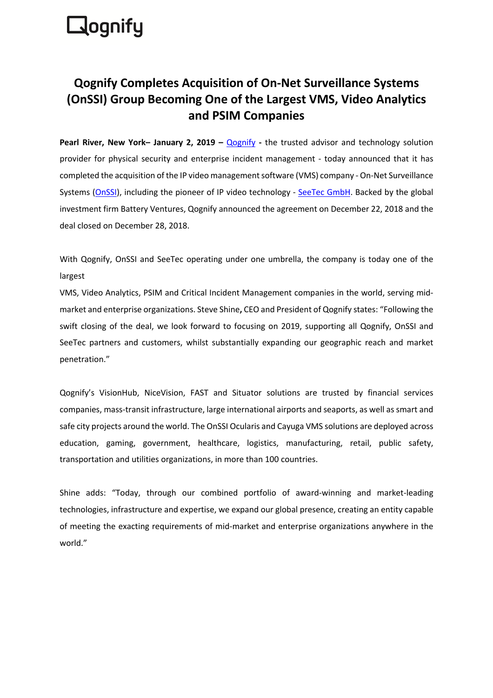# **Rognify**

## **Qognify Completes Acquisition of On-Net Surveillance Systems (OnSSI) Group Becoming One of the Largest VMS, Video Analytics and PSIM Companies**

**Pearl River, New York– January 2, 2019 –** Qognify **-** the trusted advisor and technology solution provider for physical security and enterprise incident management - today announced that it has completed the acquisition of the IP video management software (VMS) company - On-Net Surveillance Systems (OnSSI), including the pioneer of IP video technology - SeeTec GmbH. Backed by the global investment firm Battery Ventures, Qognify announced the agreement on December 22, 2018 and the deal closed on December 28, 2018.

With Qognify, OnSSI and SeeTec operating under one umbrella, the company is today one of the largest

VMS, Video Analytics, PSIM and Critical Incident Management companies in the world, serving midmarket and enterprise organizations. Steve Shine**,** CEO and President of Qognify states: "Following the swift closing of the deal, we look forward to focusing on 2019, supporting all Qognify, OnSSI and SeeTec partners and customers, whilst substantially expanding our geographic reach and market penetration."

Qognify's VisionHub, NiceVision, FAST and Situator solutions are trusted by financial services companies, mass-transit infrastructure, large international airports and seaports, as well as smart and safe city projects around the world. The OnSSI Ocularis and Cayuga VMS solutions are deployed across education, gaming, government, healthcare, logistics, manufacturing, retail, public safety, transportation and utilities organizations, in more than 100 countries.

Shine adds: "Today, through our combined portfolio of award-winning and market-leading technologies, infrastructure and expertise, we expand our global presence, creating an entity capable of meeting the exacting requirements of mid-market and enterprise organizations anywhere in the world."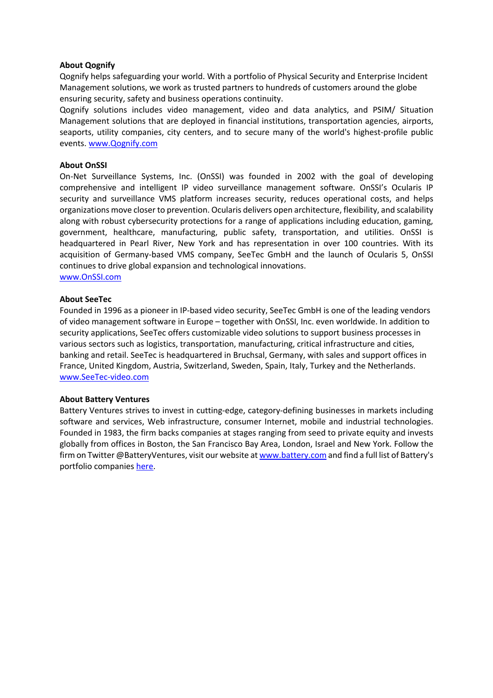#### **About Qognify**

Qognify helps safeguarding your world. With a portfolio of Physical Security and Enterprise Incident Management solutions, we work as trusted partners to hundreds of customers around the globe ensuring security, safety and business operations continuity.

Qognify solutions includes video management, video and data analytics, and PSIM/ Situation Management solutions that are deployed in financial institutions, transportation agencies, airports, seaports, utility companies, city centers, and to secure many of the world's highest-profile public events. www.Qognify.com

#### **About OnSSI**

On-Net Surveillance Systems, Inc. (OnSSI) was founded in 2002 with the goal of developing comprehensive and intelligent IP video surveillance management software. OnSSI's Ocularis IP security and surveillance VMS platform increases security, reduces operational costs, and helps organizations move closer to prevention. Ocularis delivers open architecture, flexibility, and scalability along with robust cybersecurity protections for a range of applications including education, gaming, government, healthcare, manufacturing, public safety, transportation, and utilities. OnSSI is headquartered in Pearl River, New York and has representation in over 100 countries. With its acquisition of Germany-based VMS company, SeeTec GmbH and the launch of Ocularis 5, OnSSI continues to drive global expansion and technological innovations. www.OnSSI.com

#### **About SeeTec**

Founded in 1996 as a pioneer in IP-based video security, SeeTec GmbH is one of the leading vendors of video management software in Europe – together with OnSSI, Inc. even worldwide. In addition to security applications, SeeTec offers customizable video solutions to support business processes in various sectors such as logistics, transportation, manufacturing, critical infrastructure and cities, banking and retail. SeeTec is headquartered in Bruchsal, Germany, with sales and support offices in France, United Kingdom, Austria, Switzerland, Sweden, Spain, Italy, Turkey and the Netherlands. www.SeeTec-video.com

#### **About Battery Ventures**

Battery Ventures strives to invest in cutting-edge, category-defining businesses in markets including software and services, Web infrastructure, consumer Internet, mobile and industrial technologies. Founded in 1983, the firm backs companies at stages ranging from seed to private equity and invests globally from offices in Boston, the San Francisco Bay Area, London, Israel and New York. Follow the firm on Twitter @BatteryVentures, visit our website at www.battery.com and find a full list of Battery's portfolio companies here.